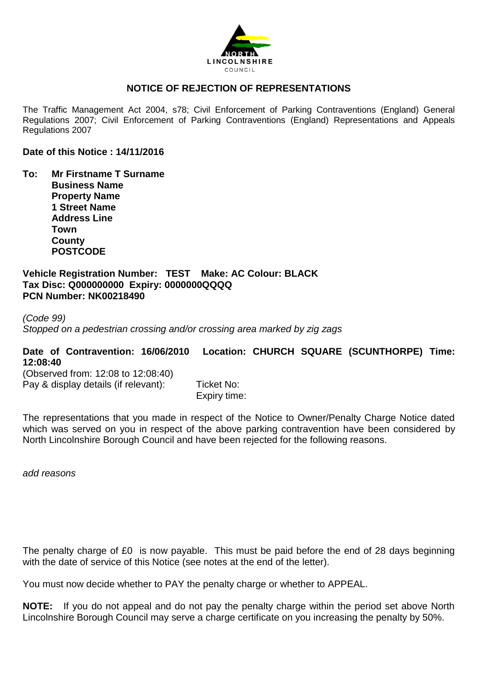

### **NOTICE OF REJECTION OF REPRESENTATIONS**

The Traffic Management Act 2004, s78; Civil Enforcement of Parking Contraventions (England) General Regulations 2007; Civil Enforcement of Parking Contraventions (England) Representations and Appeals Regulations 2007

#### **Date of this Notice : 14/11/2016**

**To: Mr Firstname T Surname Business Name Property Name 1 Street Name Address Line Town County POSTCODE**

**Vehicle Registration Number: TEST Make: AC Colour: BLACK Tax Disc: Q000000000 Expiry: 0000000QQQQ PCN Number: NK00218490** 

*(Code 99) Stopped on a pedestrian crossing and/or crossing area marked by zig zags*

## **Date of Contravention: 16/06/2010 Location: CHURCH SQUARE (SCUNTHORPE) Time: 12:08:40**

(Observed from: 12:08 to 12:08:40) Pay & display details (if relevant): Ticket No:

Expiry time:

The representations that you made in respect of the Notice to Owner/Penalty Charge Notice dated which was served on you in respect of the above parking contravention have been considered by North Lincolnshire Borough Council and have been rejected for the following reasons.

*add reasons*

The penalty charge of £0 is now payable. This must be paid before the end of 28 days beginning with the date of service of this Notice (see notes at the end of the letter).

You must now decide whether to PAY the penalty charge or whether to APPEAL.

**NOTE:** If you do not appeal and do not pay the penalty charge within the period set above North Lincolnshire Borough Council may serve a charge certificate on you increasing the penalty by 50%.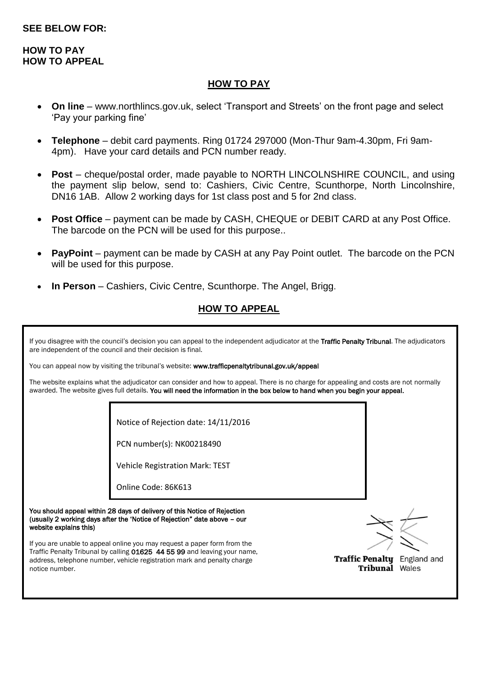### **HOW TO PAY HOW TO APPEAL**

### **HOW TO PAY**

- **On line** [www.northlincs.gov.uk,](http://www.northlincs.gov.uk/) select 'Transport and Streets' on the front page and select 'Pay your parking fine'
- **Telephone** debit card payments. Ring 01724 297000 (Mon-Thur 9am-4.30pm, Fri 9am-4pm). Have your card details and PCN number ready.
- **Post** cheque/postal order, made payable to NORTH LINCOLNSHIRE COUNCIL, and using the payment slip below, send to: Cashiers, Civic Centre, Scunthorpe, North Lincolnshire, DN16 1AB. Allow 2 working days for 1st class post and 5 for 2nd class.
- **Post Office** payment can be made by CASH, CHEQUE or DEBIT CARD at any Post Office. The barcode on the PCN will be used for this purpose..
- **PayPoint** payment can be made by CASH at any Pay Point outlet. The barcode on the PCN will be used for this purpose.
- **In Person** Cashiers, Civic Centre, Scunthorpe. The Angel, Brigg.

# **HOW TO APPEAL**

If you disagree with the council's decision you can appeal to the independent adjudicator at the Traffic Penalty Tribunal. The adjudicators are independent of the council and their decision is final.

You can appeal now by visiting the tribunal's website: www.trafficpenaltytribunal.gov.uk/appeal

The website explains what the adjudicator can consider and how to appeal. There is no charge for appealing and costs are not normally awarded. The website gives full details. You will need the information in the box below to hand when you begin your appeal.

Notice of Rejection date: 14/11/2016

PCN number(s): NK00218490

Vehicle Registration Mark: TEST

Online Code: 86K613

You should appeal within 28 days of delivery of this Notice of Rejection (usually 2 working days after the 'Notice of Rejection" date above – our website explains this)

If you are unable to appeal online you may request a paper form from the Traffic Penalty Tribunal by calling 01625 44 55 99 and leaving your name, address, telephone number, vehicle registration mark and penalty charge notice number.



Traffic Penalty England and **Tribunal Wales**